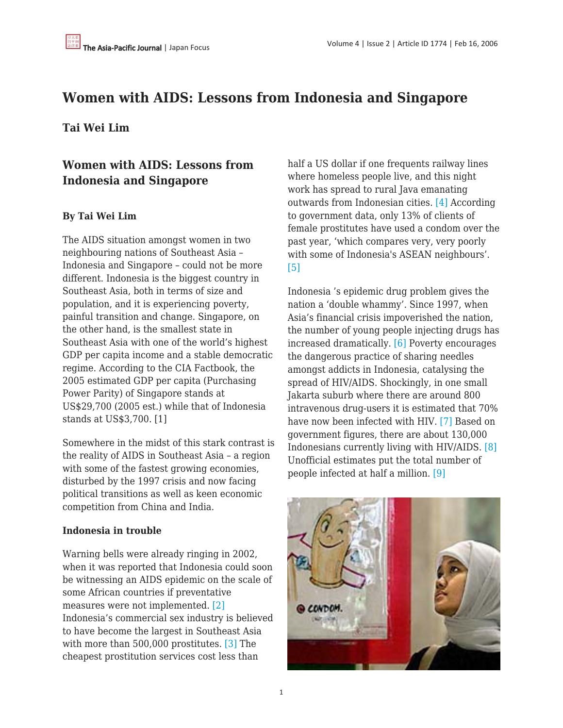# **Women with AIDS: Lessons from Indonesia and Singapore**

### **Tai Wei Lim**

## **Women with AIDS: Lessons from Indonesia and Singapore**

#### **By Tai Wei Lim**

The AIDS situation amongst women in two neighbouring nations of Southeast Asia – Indonesia and Singapore – could not be more different. Indonesia is the biggest country in Southeast Asia, both in terms of size and population, and it is experiencing poverty, painful transition and change. Singapore, on the other hand, is the smallest state in Southeast Asia with one of the world's highest GDP per capita income and a stable democratic regime. According to the CIA Factbook, the 2005 estimated GDP per capita (Purchasing Power Parity) of Singapore stands at US\$29,700 (2005 est.) while that of Indonesia stands at US\$3,700. [1]

Somewhere in the midst of this stark contrast is the reality of AIDS in Southeast Asia – a region with some of the fastest growing economies, disturbed by the 1997 crisis and now facing political transitions as well as keen economic competition from China and India.

#### **Indonesia in trouble**

Warning bells were already ringing in 2002, when it was reported that Indonesia could soon be witnessing an AIDS epidemic on the scale of some African countries if preventative measures were not implemented[. \[2\]](http://www.unifemsingapore.org.sg/unifemnews2/say_1Q2006.htm#_ftn1) Indonesia's commercial sex industry is believed to have become the largest in Southeast Asia with more than 500,000 prostitutes[. \[3\]](http://www.unifemsingapore.org.sg/unifemnews2/say_1Q2006.htm#_ftn2) The cheapest prostitution services cost less than

half a US dollar if one frequents railway lines where homeless people live, and this night work has spread to rural Java emanating outwards from Indonesian cities. [\[4\]](http://www.unifemsingapore.org.sg/unifemnews2/say_1Q2006.htm#_ftn3) According to government data, only 13% of clients of female prostitutes have used a condom over the past year, 'which compares very, very poorly with some of Indonesia's ASEAN neighbours'. [\[5\]](http://www.unifemsingapore.org.sg/unifemnews2/say_1Q2006.htm#_ftn4)

Indonesia 's epidemic drug problem gives the nation a 'double whammy'. Since 1997, when Asia's financial crisis impoverished the nation, the number of young people injecting drugs has increased dramatically. [\[6\]](http://www.unifemsingapore.org.sg/unifemnews2/say_1Q2006.htm#_ftn5) Poverty encourages the dangerous practice of sharing needles amongst addicts in Indonesia, catalysing the spread of HIV/AIDS. Shockingly, in one small Jakarta suburb where there are around 800 intravenous drug-users it is estimated that 70% have now been infected with HIV. [\[7\]](http://www.unifemsingapore.org.sg/unifemnews2/say_1Q2006.htm#_ftn6) Based on government figures, there are about 130,000 Indonesians currently living with HIV/AIDS[. \[8\]](http://www.unifemsingapore.org.sg/unifemnews2/say_1Q2006.htm#_ftn7) Unofficial estimates put the total number of people infected at half a million[. \[9\]](http://www.unifemsingapore.org.sg/unifemnews2/say_1Q2006.htm#_ftn8)

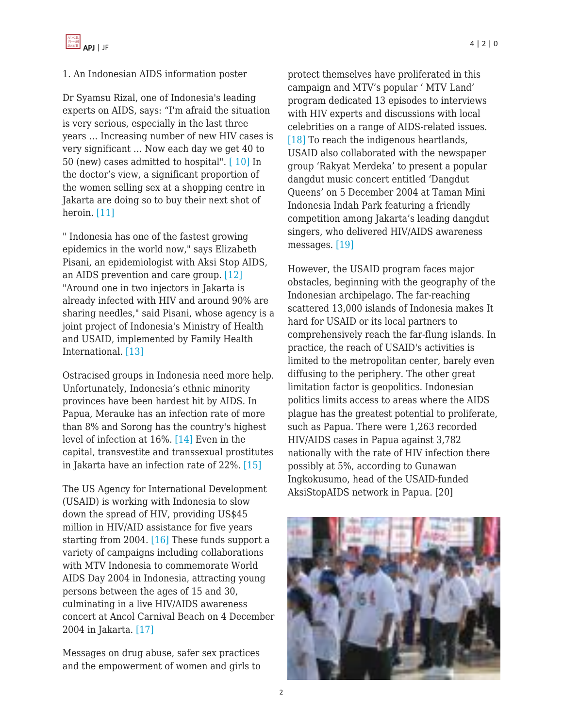#### 1. An Indonesian AIDS information poster

Dr Syamsu Rizal, one of Indonesia's leading experts on AIDS, says: "I'm afraid the situation is very serious, especially in the last three years … Increasing number of new HIV cases is very significant … Now each day we get 40 to 50 (new) cases admitted to hospital"[. \[ 10\]](http://www.unifemsingapore.org.sg/unifemnews2/say_1Q2006.htm#_ftn9) In the doctor's view, a significant proportion of the women selling sex at a shopping centre in Jakarta are doing so to buy their next shot of heroin[. \[11\]](http://www.unifemsingapore.org.sg/unifemnews2/say_1Q2006.htm#_ftn10)

" Indonesia has one of the fastest growing epidemics in the world now," says Elizabeth Pisani, an epidemiologist with Aksi Stop AIDS, an AIDS prevention and care group[. \[12\]](http://www.unifemsingapore.org.sg/unifemnews2/say_1Q2006.htm#_ftn11) "Around one in two injectors in Jakarta is already infected with HIV and around 90% are sharing needles," said Pisani, whose agency is a joint project of Indonesia's Ministry of Health and USAID, implemented by Family Health International. [\[13\]](http://www.unifemsingapore.org.sg/unifemnews2/say_1Q2006.htm#_ftn12)

Ostracised groups in Indonesia need more help. Unfortunately, Indonesia's ethnic minority provinces have been hardest hit by AIDS. In Papua, Merauke has an infection rate of more than 8% and Sorong has the country's highest level of infection at 16%[. \[14\]](http://www.unifemsingapore.org.sg/unifemnews2/say_1Q2006.htm#_ftn13) Even in the capital, transvestite and transsexual prostitutes in Jakarta have an infection rate of 22%. [\[15\]](http://www.unifemsingapore.org.sg/unifemnews2/say_1Q2006.htm#_ftn14)

The US Agency for International Development (USAID) is working with Indonesia to slow down the spread of HIV, providing US\$45 million in HIV/AID assistance for five years starting from 2004[. \[16\]](http://www.unifemsingapore.org.sg/unifemnews2/say_1Q2006.htm#_ftn15) These funds support a variety of campaigns including collaborations with MTV Indonesia to commemorate World AIDS Day 2004 in Indonesia, attracting young persons between the ages of 15 and 30, culminating in a live HIV/AIDS awareness concert at Ancol Carnival Beach on 4 December 2004 in Jakarta. [\[17\]](http://www.unifemsingapore.org.sg/unifemnews2/say_1Q2006.htm#_ftn16)

Messages on drug abuse, safer sex practices and the empowerment of women and girls to protect themselves have proliferated in this campaign and MTV's popular ' MTV Land' program dedicated 13 episodes to interviews with HIV experts and discussions with local celebrities on a range of AIDS-related issues. [\[18\]](http://www.unifemsingapore.org.sg/unifemnews2/say_1Q2006.htm#_ftn17) To reach the indigenous heartlands, USAID also collaborated with the newspaper group 'Rakyat Merdeka' to present a popular dangdut music concert entitled 'Dangdut Queens' on 5 December 2004 at Taman Mini Indonesia Indah Park featuring a friendly competition among Jakarta's leading dangdut singers, who delivered HIV/AIDS awareness messages[. \[19\]](http://www.unifemsingapore.org.sg/unifemnews2/say_1Q2006.htm#_ftn18)

However, the USAID program faces major obstacles, beginning with the geography of the Indonesian archipelago. The far-reaching scattered 13,000 islands of Indonesia makes It hard for USAID or its local partners to comprehensively reach the far-flung islands. In practice, the reach of USAID's activities is limited to the metropolitan center, barely even diffusing to the periphery. The other great limitation factor is geopolitics. Indonesian politics limits access to areas where the AIDS plague has the greatest potential to proliferate, such as Papua. There were 1,263 recorded HIV/AIDS cases in Papua against 3,782 nationally with the rate of HIV infection there possibly at 5%, according to Gunawan Ingkokusumo, head of the USAID-funded AksiStopAIDS network in Papua. [20]

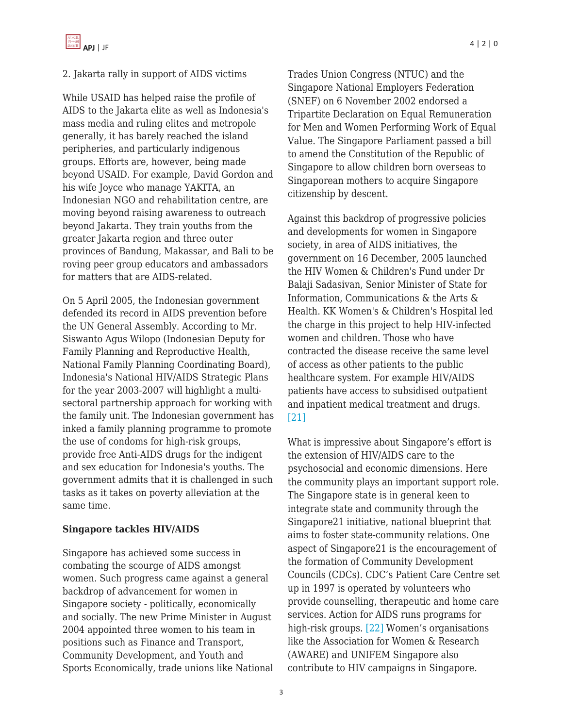#### 2. Jakarta rally in support of AIDS victims

While USAID has helped raise the profile of AIDS to the Jakarta elite as well as Indonesia's mass media and ruling elites and metropole generally, it has barely reached the island peripheries, and particularly indigenous groups. Efforts are, however, being made beyond USAID. For example, David Gordon and his wife Joyce who manage YAKITA, an Indonesian NGO and rehabilitation centre, are moving beyond raising awareness to outreach beyond Jakarta. They train youths from the greater Jakarta region and three outer provinces of Bandung, Makassar, and Bali to be roving peer group educators and ambassadors for matters that are AIDS-related.

On 5 April 2005, the Indonesian government defended its record in AIDS prevention before the UN General Assembly. According to Mr. Siswanto Agus Wilopo (Indonesian Deputy for Family Planning and Reproductive Health, National Family Planning Coordinating Board), Indonesia's National HIV/AIDS Strategic Plans for the year 2003-2007 will highlight a multisectoral partnership approach for working with the family unit. The Indonesian government has inked a family planning programme to promote the use of condoms for high-risk groups, provide free Anti-AIDS drugs for the indigent and sex education for Indonesia's youths. The government admits that it is challenged in such tasks as it takes on poverty alleviation at the same time.

#### **Singapore tackles HIV/AIDS**

Singapore has achieved some success in combating the scourge of AIDS amongst women. Such progress came against a general backdrop of advancement for women in Singapore society - politically, economically and socially. The new Prime Minister in August 2004 appointed three women to his team in positions such as Finance and Transport, Community Development, and Youth and Sports Economically, trade unions like National Trades Union Congress (NTUC) and the Singapore National Employers Federation (SNEF) on 6 November 2002 endorsed a Tripartite Declaration on Equal Remuneration for Men and Women Performing Work of Equal Value. The Singapore Parliament passed a bill to amend the Constitution of the Republic of Singapore to allow children born overseas to Singaporean mothers to acquire Singapore citizenship by descent.

Against this backdrop of progressive policies and developments for women in Singapore society, in area of AIDS initiatives, the government on 16 December, 2005 launched the HIV Women & Children's Fund under Dr Balaji Sadasivan, Senior Minister of State for Information, Communications & the Arts & Health. KK Women's & Children's Hospital led the charge in this project to help HIV-infected women and children. Those who have contracted the disease receive the same level of access as other patients to the public healthcare system. For example HIV/AIDS patients have access to subsidised outpatient and inpatient medical treatment and drugs. [\[21\]](http://www.unifemsingapore.org.sg/unifemnews2/say_1Q2006.htm#_ftn19)

What is impressive about Singapore's effort is the extension of HIV/AIDS care to the psychosocial and economic dimensions. Here the community plays an important support role. The Singapore state is in general keen to integrate state and community through the Singapore21 initiative, national blueprint that aims to foster state-community relations. One aspect of Singapore21 is the encouragement of the formation of Community Development Councils (CDCs). CDC's Patient Care Centre set up in 1997 is operated by volunteers who provide counselling, therapeutic and home care services. Action for AIDS runs programs for high-risk groups. [\[22\]](http://www.unifemsingapore.org.sg/unifemnews2/say_1Q2006.htm#_ftn20) Women's organisations like the Association for Women & Research (AWARE) and UNIFEM Singapore also contribute to HIV campaigns in Singapore.

3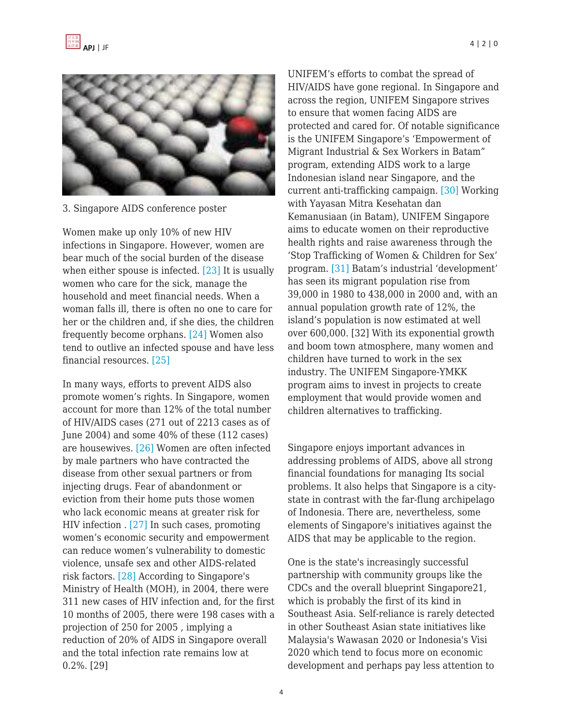

3. Singapore AIDS conference poster

Women make up only 10% of new HIV infections in Singapore. However, women are bear much of the social burden of the disease when either spouse is infected[. \[23\]](http://www.unifemsingapore.org.sg/unifemnews2/say_1Q2006.htm#_ftn21) It is usually women who care for the sick, manage the household and meet financial needs. When a woman falls ill, there is often no one to care for her or the children and, if she dies, the children frequently become orphans. [\[24\]](http://www.unifemsingapore.org.sg/unifemnews2/say_1Q2006.htm#_ftn22) Women also tend to outlive an infected spouse and have less financial resources[. \[25\]](http://www.unifemsingapore.org.sg/unifemnews2/say_1Q2006.htm#_ftn23)

In many ways, efforts to prevent AIDS also promote women's rights. In Singapore, women account for more than 12% of the total number of HIV/AIDS cases (271 out of 2213 cases as of June 2004) and some 40% of these (112 cases) are housewives. [\[26\]](http://www.unifemsingapore.org.sg/unifemnews2/say_1Q2006.htm#_ftn24) Women are often infected by male partners who have contracted the disease from other sexual partners or from injecting drugs. Fear of abandonment or eviction from their home puts those women who lack economic means at greater risk for HIV infection . [\[27\]](http://www.unifemsingapore.org.sg/unifemnews2/say_1Q2006.htm#_ftn25) In such cases, promoting women's economic security and empowerment can reduce women's vulnerability to domestic violence, unsafe sex and other AIDS-related risk factors[. \[28\]](http://www.unifemsingapore.org.sg/unifemnews2/say_1Q2006.htm#_ftn26) According to Singapore's Ministry of Health (MOH), in 2004, there were 311 new cases of HIV infection and, for the first 10 months of 2005, there were 198 cases with a projection of 250 for 2005 , implying a reduction of 20% of AIDS in Singapore overall and the total infection rate remains low at 0.2%. [29]

UNIFEM's efforts to combat the spread of HIV/AIDS have gone regional. In Singapore and across the region, UNIFEM Singapore strives to ensure that women facing AIDS are protected and cared for. Of notable significance is the UNIFEM Singapore's 'Empowerment of Migrant Industrial & Sex Workers in Batam" program, extending AIDS work to a large Indonesian island near Singapore, and the current anti-trafficking campaign. [\[30\]](http://www.unifemsingapore.org.sg/unifemnews2/say_1Q2006.htm#_ftn27) Working with Yayasan Mitra Kesehatan dan Kemanusiaan (in Batam), UNIFEM Singapore aims to educate women on their reproductive health rights and raise awareness through the 'Stop Trafficking of Women & Children for Sex' program[. \[31\]](http://www.unifemsingapore.org.sg/unifemnews2/say_1Q2006.htm#_ftn28) Batam's industrial 'development' has seen its migrant population rise from 39,000 in 1980 to 438,000 in 2000 and, with an annual population growth rate of 12%, the island's population is now estimated at well over 600,000. [32] With its exponential growth and boom town atmosphere, many women and children have turned to work in the sex industry. The UNIFEM Singapore-YMKK program aims to invest in projects to create employment that would provide women and children alternatives to trafficking.

Singapore enjoys important advances in addressing problems of AIDS, above all strong financial foundations for managing Its social problems. It also helps that Singapore is a citystate in contrast with the far-flung archipelago of Indonesia. There are, nevertheless, some elements of Singapore's initiatives against the AIDS that may be applicable to the region.

One is the state's increasingly successful partnership with community groups like the CDCs and the overall blueprint Singapore21, which is probably the first of its kind in Southeast Asia. Self-reliance is rarely detected in other Southeast Asian state initiatives like Malaysia's Wawasan 2020 or Indonesia's Visi 2020 which tend to focus more on economic development and perhaps pay less attention to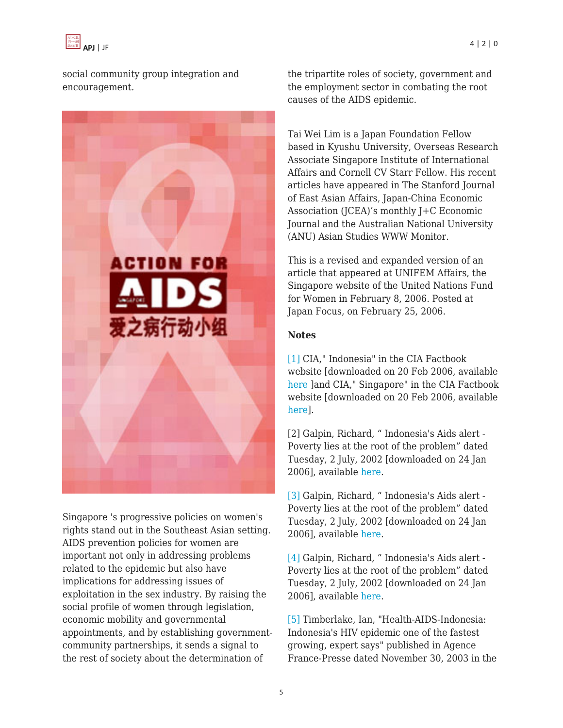

social community group integration and encouragement.



Singapore 's progressive policies on women's rights stand out in the Southeast Asian setting. AIDS prevention policies for women are important not only in addressing problems related to the epidemic but also have implications for addressing issues of exploitation in the sex industry. By raising the social profile of women through legislation, economic mobility and governmental appointments, and by establishing governmentcommunity partnerships, it sends a signal to the rest of society about the determination of

the tripartite roles of society, government and the employment sector in combating the root causes of the AIDS epidemic.

Tai Wei Lim is a Japan Foundation Fellow based in Kyushu University, Overseas Research Associate Singapore Institute of International Affairs and Cornell CV Starr Fellow. His recent articles have appeared in The Stanford Journal of East Asian Affairs, Japan-China Economic Association (JCEA)'s monthly J+C Economic Journal and the Australian National University (ANU) Asian Studies WWW Monitor.

This is a revised and expanded version of an article that appeared at UNIFEM Affairs, the Singapore website of the United Nations Fund for Women in February 8, 2006. Posted at Japan Focus, on February 25, 2006.

#### **Notes**

[\[1\]](http://www.unifemsingapore.org.sg/unifemnews2/say_1Q2006.htm#_ftnref1) CIA," Indonesia" in the CIA Factbook website [downloaded on 20 Feb 2006, available [here](http://www.cia.gov/cia/publications/factbook/geos/id.html) ]and CIA," Singapore" in the CIA Factbook website [downloaded on 20 Feb 2006, available [here\]](http://www.cia.gov/cia/publications/factbook/geos/sn.html).

[2] Galpin, Richard, " Indonesia's Aids alert - Poverty lies at the root of the problem" dated Tuesday, 2 July, 2002 [downloaded on 24 Jan 2006], available [here.](http://news.bbc.co.uk/2/hi/asia-pacific/2078715.stm)

[\[3\]](http://www.unifemsingapore.org.sg/unifemnews2/say_1Q2006.htm#_ftnref2) Galpin, Richard, " Indonesia's Aids alert - Poverty lies at the root of the problem" dated Tuesday, 2 July, 2002 [downloaded on 24 Jan 2006], available [here.](http://news.bbc.co.uk/2/hi/asia-pacific/2078715.stm)

[\[4\]](http://www.unifemsingapore.org.sg/unifemnews2/say_1Q2006.htm#_ftnref3) Galpin, Richard, " Indonesia's Aids alert - Poverty lies at the root of the problem" dated Tuesday, 2 July, 2002 [downloaded on 24 Jan 2006], available [here.](http://news.bbc.co.uk/2/hi/asia-pacific/2078715.stm)

[\[5\]](http://www.unifemsingapore.org.sg/unifemnews2/say_1Q2006.htm#_ftnref4) Timberlake, Ian, "Health-AIDS-Indonesia: Indonesia's HIV epidemic one of the fastest growing, expert says" published in Agence France-Presse dated November 30, 2003 in the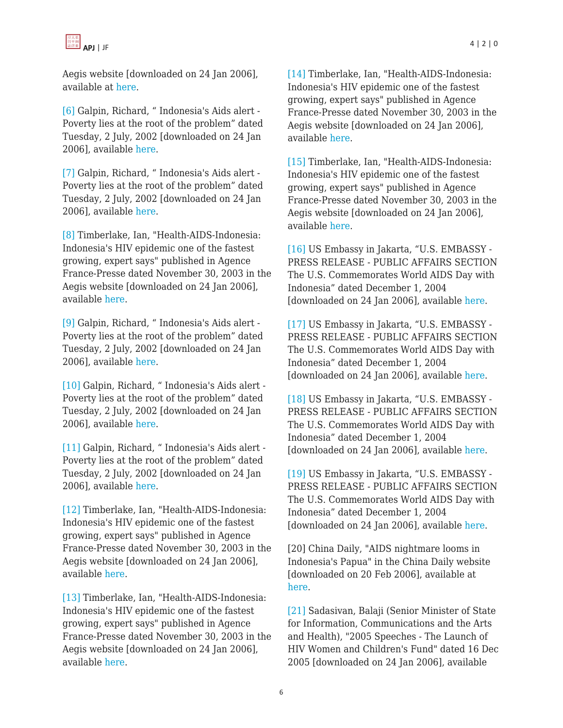Aegis website [downloaded on 24 Jan 2006], available at [here](http://www.aegis.com/news/afp/2003/AF0311G5.html).

[\[6\]](http://www.unifemsingapore.org.sg/unifemnews2/say_1Q2006.htm#_ftnref5) Galpin, Richard, " Indonesia's Aids alert - Poverty lies at the root of the problem" dated Tuesday, 2 July, 2002 [downloaded on 24 Jan 2006], available [here](http://news.bbc.co.uk/2/hi/asia-pacific/2078715.stm).

[\[7\]](http://www.unifemsingapore.org.sg/unifemnews2/say_1Q2006.htm#_ftnref6) Galpin, Richard, " Indonesia's Aids alert - Poverty lies at the root of the problem" dated Tuesday, 2 July, 2002 [downloaded on 24 Jan 2006], available [here](http://news.bbc.co.uk/2/hi/asia-pacific/2078715.stm).

[\[8\]](http://www.unifemsingapore.org.sg/unifemnews2/say_1Q2006.htm#_ftnref7) Timberlake, Ian, "Health-AIDS-Indonesia: Indonesia's HIV epidemic one of the fastest growing, expert says" published in Agence France-Presse dated November 30, 2003 in the Aegis website [downloaded on 24 Jan 2006], available [here.](http://www.aegis.com/news/afp/2003/AF0311G5.html)

[\[9\]](http://www.unifemsingapore.org.sg/unifemnews2/say_1Q2006.htm#_ftnref8) Galpin, Richard, " Indonesia's Aids alert - Poverty lies at the root of the problem" dated Tuesday, 2 July, 2002 [downloaded on 24 Jan 2006], available [here](http://news.bbc.co.uk/2/hi/asia-pacific/2078715.stm).

[\[10\]](http://www.unifemsingapore.org.sg/unifemnews2/say_1Q2006.htm#_ftnref9) Galpin, Richard, "Indonesia's Aids alert -Poverty lies at the root of the problem" dated Tuesday, 2 July, 2002 [downloaded on 24 Jan 2006], available [here](http://news.bbc.co.uk/2/hi/asia-pacific/2078715.stm).

[\[11\]](http://www.unifemsingapore.org.sg/unifemnews2/say_1Q2006.htm#_ftnref10) Galpin, Richard, " Indonesia's Aids alert - Poverty lies at the root of the problem" dated Tuesday, 2 July, 2002 [downloaded on 24 Jan 2006], available [here](http://news.bbc.co.uk/2/hi/asia-pacific/2078715.stm).

[\[12\]](http://www.unifemsingapore.org.sg/unifemnews2/say_1Q2006.htm#_ftnref11) Timberlake, Ian, "Health-AIDS-Indonesia: Indonesia's HIV epidemic one of the fastest growing, expert says" published in Agence France-Presse dated November 30, 2003 in the Aegis website [downloaded on 24 Jan 2006], available [here.](http://www.aegis.com/news/afp/2003/AF0311G5.html)

[\[13\]](http://www.unifemsingapore.org.sg/unifemnews2/say_1Q2006.htm#_ftnref12) Timberlake, Ian, "Health-AIDS-Indonesia: Indonesia's HIV epidemic one of the fastest growing, expert says" published in Agence France-Presse dated November 30, 2003 in the Aegis website [downloaded on 24 Jan 2006], available [here.](http://www.aegis.com/news/afp/2003/AF0311G5.html)

[\[14\]](http://www.unifemsingapore.org.sg/unifemnews2/say_1Q2006.htm#_ftnref13) Timberlake, Ian, "Health-AIDS-Indonesia: Indonesia's HIV epidemic one of the fastest growing, expert says" published in Agence France-Presse dated November 30, 2003 in the Aegis website [downloaded on 24 Jan 2006], available [here.](http://www.aegis.com/news/afp/2003/AF0311G5.html)

[\[15\]](http://www.unifemsingapore.org.sg/unifemnews2/say_1Q2006.htm#_ftnref14) Timberlake, Ian, "Health-AIDS-Indonesia: Indonesia's HIV epidemic one of the fastest growing, expert says" published in Agence France-Presse dated November 30, 2003 in the Aegis website [downloaded on 24 Jan 2006], available [here.](http://www.aegis.com/news/afp/2003/AF0311G5.html)

[\[16\]](http://www.unifemsingapore.org.sg/unifemnews2/say_1Q2006.htm#_ftnref15) US Embassy in Jakarta, "U.S. EMBASSY - PRESS RELEASE - PUBLIC AFFAIRS SECTION The U.S. Commemorates World AIDS Day with Indonesia" dated December 1, 2004 [downloaded on 24 Jan 2006], available [here](http://www.usembassyjakarta.org/press_rel/World_AIDS-Day.html).

[\[17\]](http://www.unifemsingapore.org.sg/unifemnews2/say_1Q2006.htm#_ftnref16) US Embassy in Jakarta, "U.S. EMBASSY - PRESS RELEASE - PUBLIC AFFAIRS SECTION The U.S. Commemorates World AIDS Day with Indonesia" dated December 1, 2004 [downloaded on 24 Jan 2006], available [here](http://www.usembassyjakarta.org/press_rel/World_AIDS-Day.html).

[\[18\]](http://www.unifemsingapore.org.sg/unifemnews2/say_1Q2006.htm#_ftnref17) US Embassy in Jakarta, "U.S. EMBASSY - PRESS RELEASE - PUBLIC AFFAIRS SECTION The U.S. Commemorates World AIDS Day with Indonesia" dated December 1, 2004 [downloaded on 24 Jan 2006], available [here](http://www.usembassyjakarta.org/press_rel/World_AIDS-Day.html).

[\[19\]](http://www.unifemsingapore.org.sg/unifemnews2/say_1Q2006.htm#_ftnref18) US Embassy in Jakarta, "U.S. EMBASSY - PRESS RELEASE - PUBLIC AFFAIRS SECTION The U.S. Commemorates World AIDS Day with Indonesia" dated December 1, 2004 [downloaded on 24 Jan 2006], available [here](http://www.usembassyjakarta.org/press_rel/World_AIDS-Day.html).

[20] China Daily, "AIDS nightmare looms in Indonesia's Papua" in the China Daily website [downloaded on 20 Feb 2006], available at [here.](http://www.chinadaily.com.cn/en/doc/2003-09/16/content_264730.htm)

[\[21\]](http://www.unifemsingapore.org.sg/unifemnews2/say_1Q2006.htm#_ftnref19) Sadasivan, Balaji (Senior Minister of State for Information, Communications and the Arts and Health), "2005 Speeches - The Launch of HIV Women and Children's Fund" dated 16 Dec 2005 [downloaded on 24 Jan 2006], available